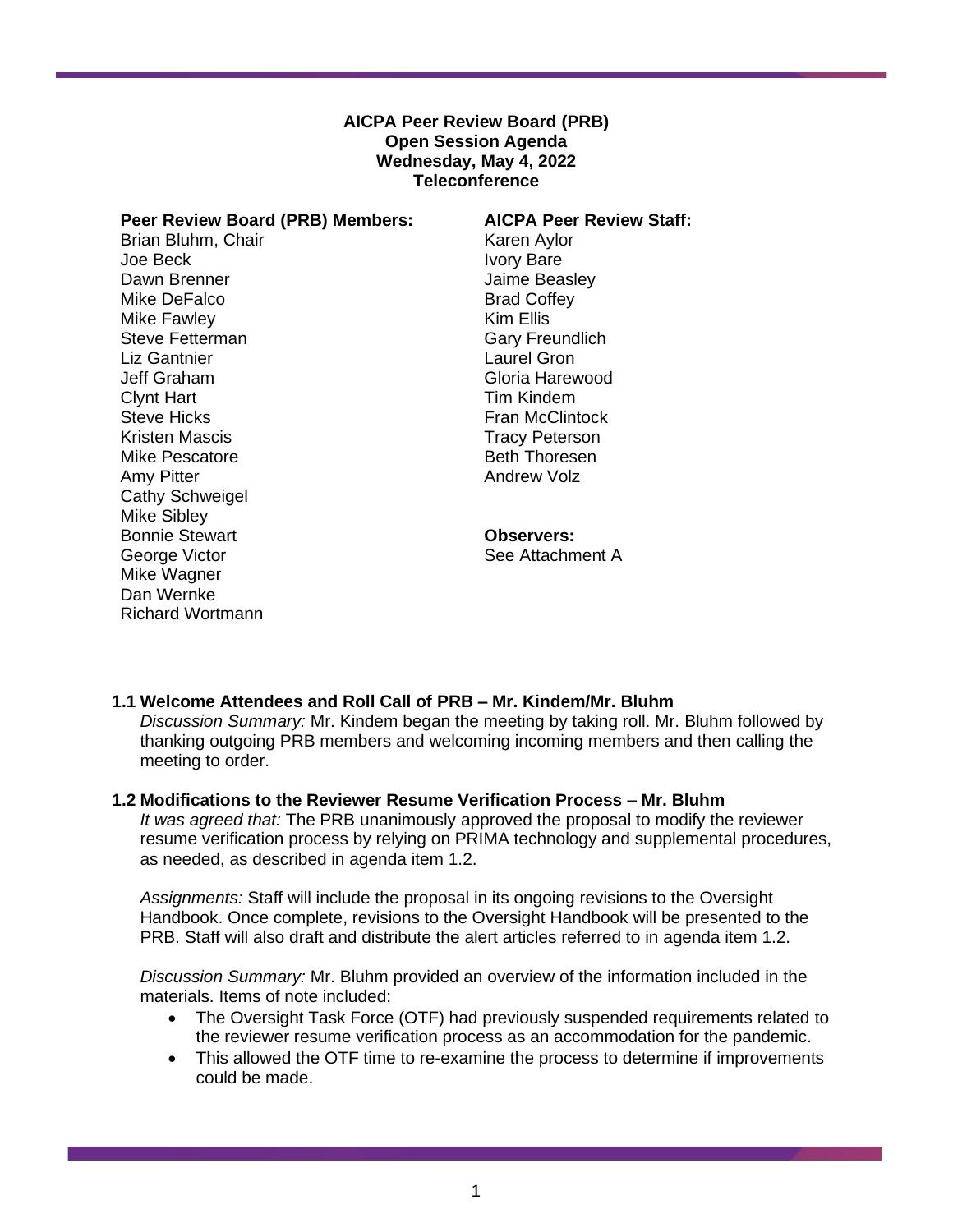## **AICPA Peer Review Board (PRB) Open Session Agenda Wednesday, May 4, 2022 Teleconference**

| Peer Review Board (PRB) Members: |
|----------------------------------|
| Brian Bluhm, Chair               |
| Joe Beck                         |
| Dawn Brenner                     |
| Mike DeFalco                     |
| Mike Fawley                      |
| Steve Fetterman                  |
| <b>Liz Gantnier</b>              |
| Jeff Graham                      |
| Clynt Hart                       |
| <b>Steve Hicks</b>               |
| Kristen Mascis                   |
| Mike Pescatore                   |
| Amy Pitter                       |
| <b>Cathy Schweigel</b>           |
| Mike Sibley                      |
| <b>Bonnie Stewart</b>            |
| George Victor                    |
| Mike Wagner                      |
| Dan Wernke                       |
| Richard Wortmann                 |

#### **AICPA Peer Review Staff:**

Karen Aylor Ivory Bare Jaime Beasley Brad Coffey Kim Ellis Gary Freundlich Laurel Gron Gloria Harewood Tim Kindem Fran McClintock Tracy Peterson Beth Thoresen Andrew Volz

# **Observers:**

See Attachment A

## **1.1 Welcome Attendees and Roll Call of PRB – Mr. Kindem/Mr. Bluhm**

*Discussion Summary:* Mr. Kindem began the meeting by taking roll. Mr. Bluhm followed by thanking outgoing PRB members and welcoming incoming members and then calling the meeting to order.

### **1.2 Modifications to the Reviewer Resume Verification Process – Mr. Bluhm**

*It was agreed that:* The PRB unanimously approved the proposal to modify the reviewer resume verification process by relying on PRIMA technology and supplemental procedures, as needed, as described in agenda item 1.2.

*Assignments:* Staff will include the proposal in its ongoing revisions to the Oversight Handbook. Once complete, revisions to the Oversight Handbook will be presented to the PRB. Staff will also draft and distribute the alert articles referred to in agenda item 1.2.

*Discussion Summary:* Mr. Bluhm provided an overview of the information included in the materials. Items of note included:

- The Oversight Task Force (OTF) had previously suspended requirements related to the reviewer resume verification process as an accommodation for the pandemic.
- This allowed the OTF time to re-examine the process to determine if improvements could be made.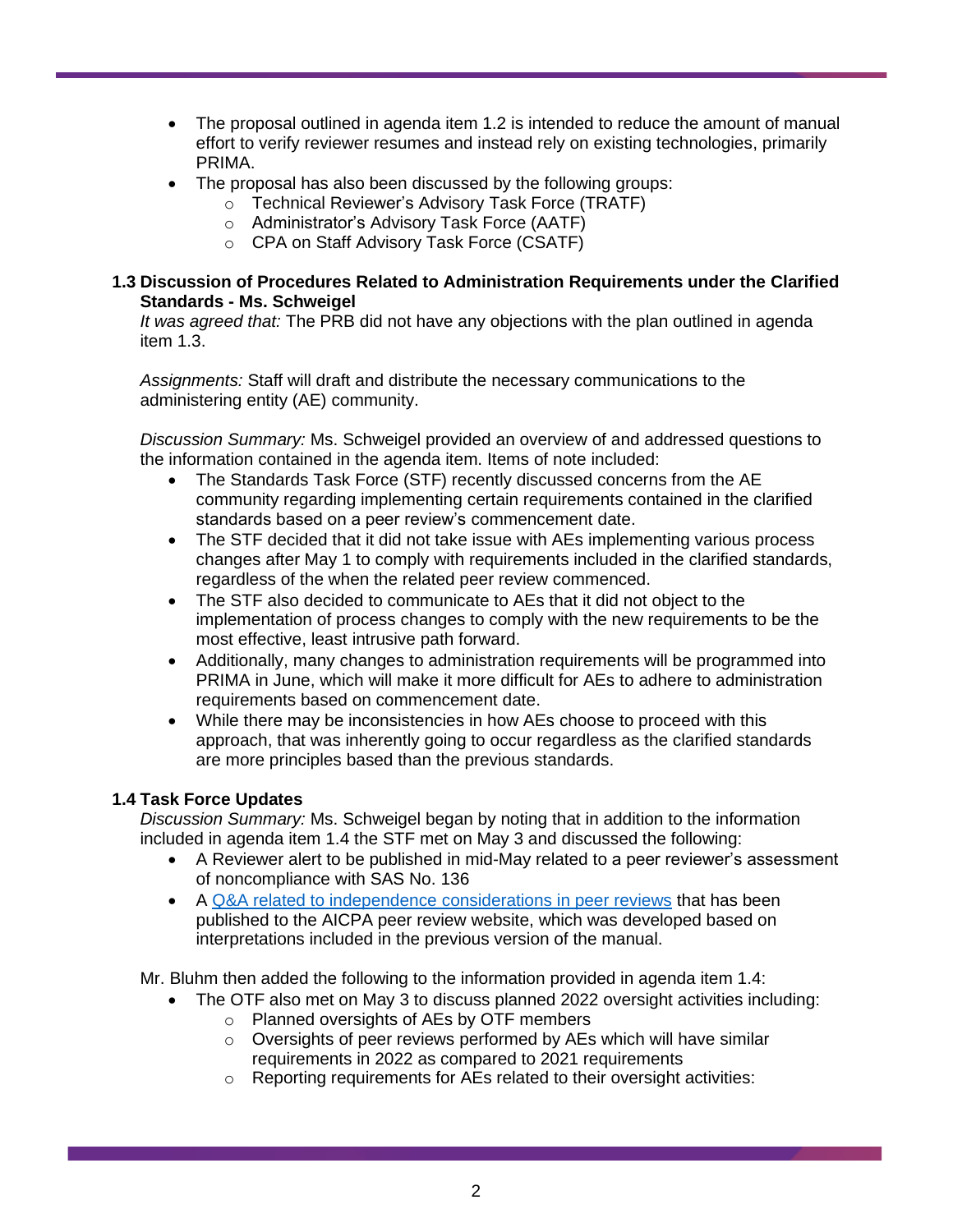- The proposal outlined in agenda item 1.2 is intended to reduce the amount of manual effort to verify reviewer resumes and instead rely on existing technologies, primarily PRIMA.
- The proposal has also been discussed by the following groups:
	- o Technical Reviewer's Advisory Task Force (TRATF)
	- o Administrator's Advisory Task Force (AATF)
	- o CPA on Staff Advisory Task Force (CSATF)

## **1.3 Discussion of Procedures Related to Administration Requirements under the Clarified Standards - Ms. Schweigel**

*It was agreed that:* The PRB did not have any objections with the plan outlined in agenda item 1.3.

*Assignments:* Staff will draft and distribute the necessary communications to the administering entity (AE) community.

*Discussion Summary:* Ms. Schweigel provided an overview of and addressed questions to the information contained in the agenda item. Items of note included:

- The Standards Task Force (STF) recently discussed concerns from the AE community regarding implementing certain requirements contained in the clarified standards based on a peer review's commencement date.
- The STF decided that it did not take issue with AEs implementing various process changes after May 1 to comply with requirements included in the clarified standards, regardless of the when the related peer review commenced.
- The STF also decided to communicate to AEs that it did not object to the implementation of process changes to comply with the new requirements to be the most effective, least intrusive path forward.
- Additionally, many changes to administration requirements will be programmed into PRIMA in June, which will make it more difficult for AEs to adhere to administration requirements based on commencement date.
- While there may be inconsistencies in how AEs choose to proceed with this approach, that was inherently going to occur regardless as the clarified standards are more principles based than the previous standards.

## **1.4 Task Force Updates**

*Discussion Summary:* Ms. Schweigel began by noting that in addition to the information included in agenda item 1.4 the STF met on May 3 and discussed the following:

- A Reviewer alert to be published in mid-May related to a peer reviewer's assessment of noncompliance with SAS No. 136
- A [Q&A related to independence considerations in peer reviews](https://us.aicpa.org/content/dam/aicpa/interestareas/peerreview/resources/peerreviewprogrammanual/downloadabledocuments/qa-independence-considerations-in-peerreview.pdf) that has been published to the AICPA peer review website, which was developed based on interpretations included in the previous version of the manual.

Mr. Bluhm then added the following to the information provided in agenda item 1.4:

- The OTF also met on May 3 to discuss planned 2022 oversight activities including: o Planned oversights of AEs by OTF members
	- $\circ$  Oversights of peer reviews performed by AEs which will have similar requirements in 2022 as compared to 2021 requirements
	- o Reporting requirements for AEs related to their oversight activities: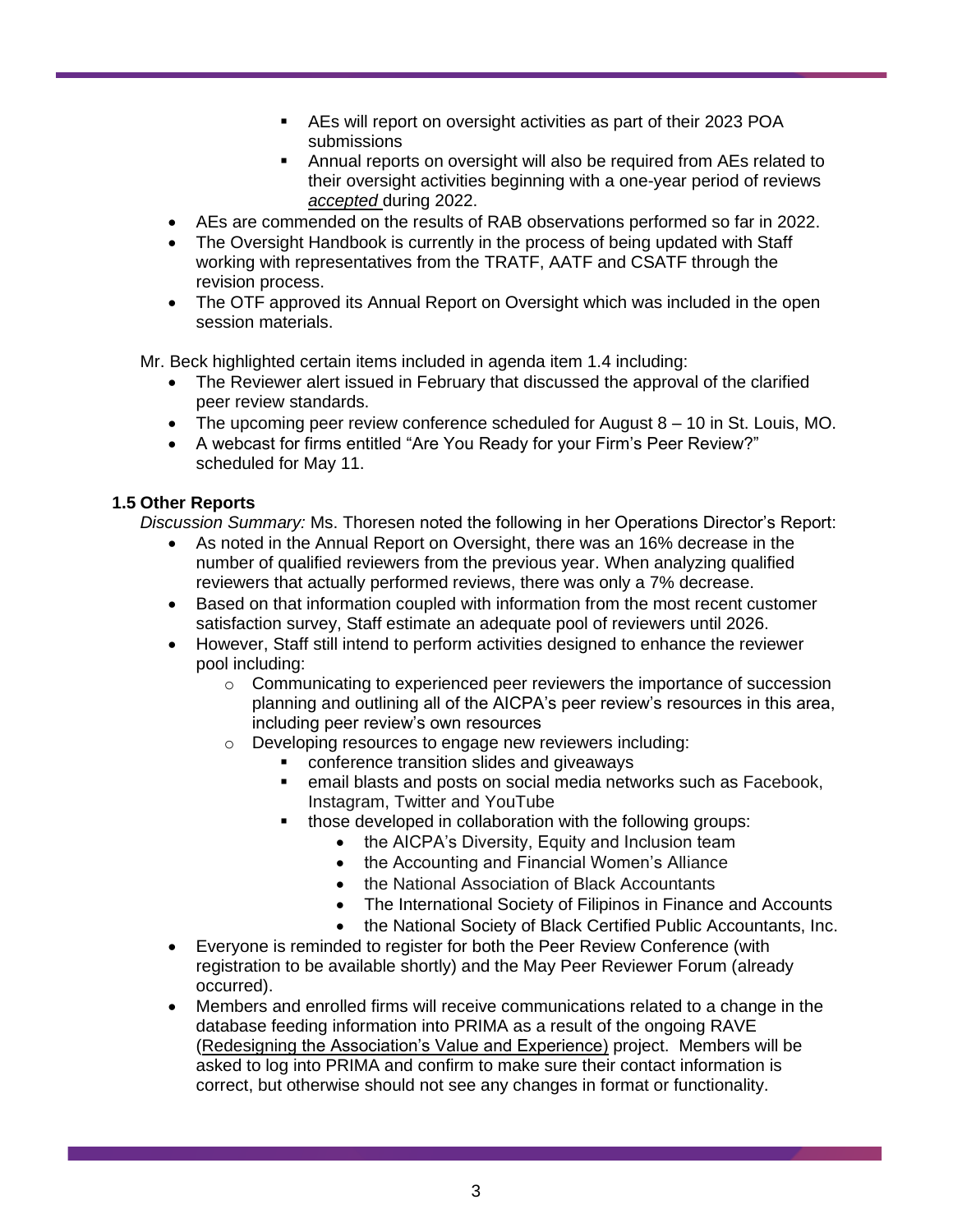- AEs will report on oversight activities as part of their 2023 POA submissions
- Annual reports on oversight will also be required from AEs related to their oversight activities beginning with a one-year period of reviews *accepted* during 2022.
- AEs are commended on the results of RAB observations performed so far in 2022.
- The Oversight Handbook is currently in the process of being updated with Staff working with representatives from the TRATF, AATF and CSATF through the revision process.
- The OTF approved its Annual Report on Oversight which was included in the open session materials.

Mr. Beck highlighted certain items included in agenda item 1.4 including:

- The Reviewer alert issued in February that discussed the approval of the clarified peer review standards.
- The upcoming peer review conference scheduled for August 8 10 in St. Louis, MO.
- A webcast for firms entitled "Are You Ready for your Firm's Peer Review?" scheduled for May 11.

## **1.5 Other Reports**

*Discussion Summary:* Ms. Thoresen noted the following in her Operations Director's Report:

- As noted in the Annual Report on Oversight, there was an 16% decrease in the number of qualified reviewers from the previous year. When analyzing qualified reviewers that actually performed reviews, there was only a 7% decrease.
- Based on that information coupled with information from the most recent customer satisfaction survey, Staff estimate an adequate pool of reviewers until 2026.
- However, Staff still intend to perform activities designed to enhance the reviewer pool including:
	- o Communicating to experienced peer reviewers the importance of succession planning and outlining all of the AICPA's peer review's resources in this area, including peer review's own resources
	- o Developing resources to engage new reviewers including:
		- conference transition slides and giveaways
		- email blasts and posts on social media networks such as Facebook, Instagram, Twitter and YouTube
		- those developed in collaboration with the following groups:
			- the AICPA's Diversity, Equity and Inclusion team
			- the Accounting and Financial Women's Alliance
			- the National Association of Black Accountants
			- The International Society of Filipinos in Finance and Accounts
			- the National Society of Black Certified Public Accountants, Inc.
- Everyone is reminded to register for both the Peer Review Conference (with registration to be available shortly) and the May Peer Reviewer Forum (already occurred).
- Members and enrolled firms will receive communications related to a change in the database feeding information into PRIMA as a result of the ongoing RAVE (Redesigning the Association's Value and Experience) project. Members will be asked to log into PRIMA and confirm to make sure their contact information is correct, but otherwise should not see any changes in format or functionality.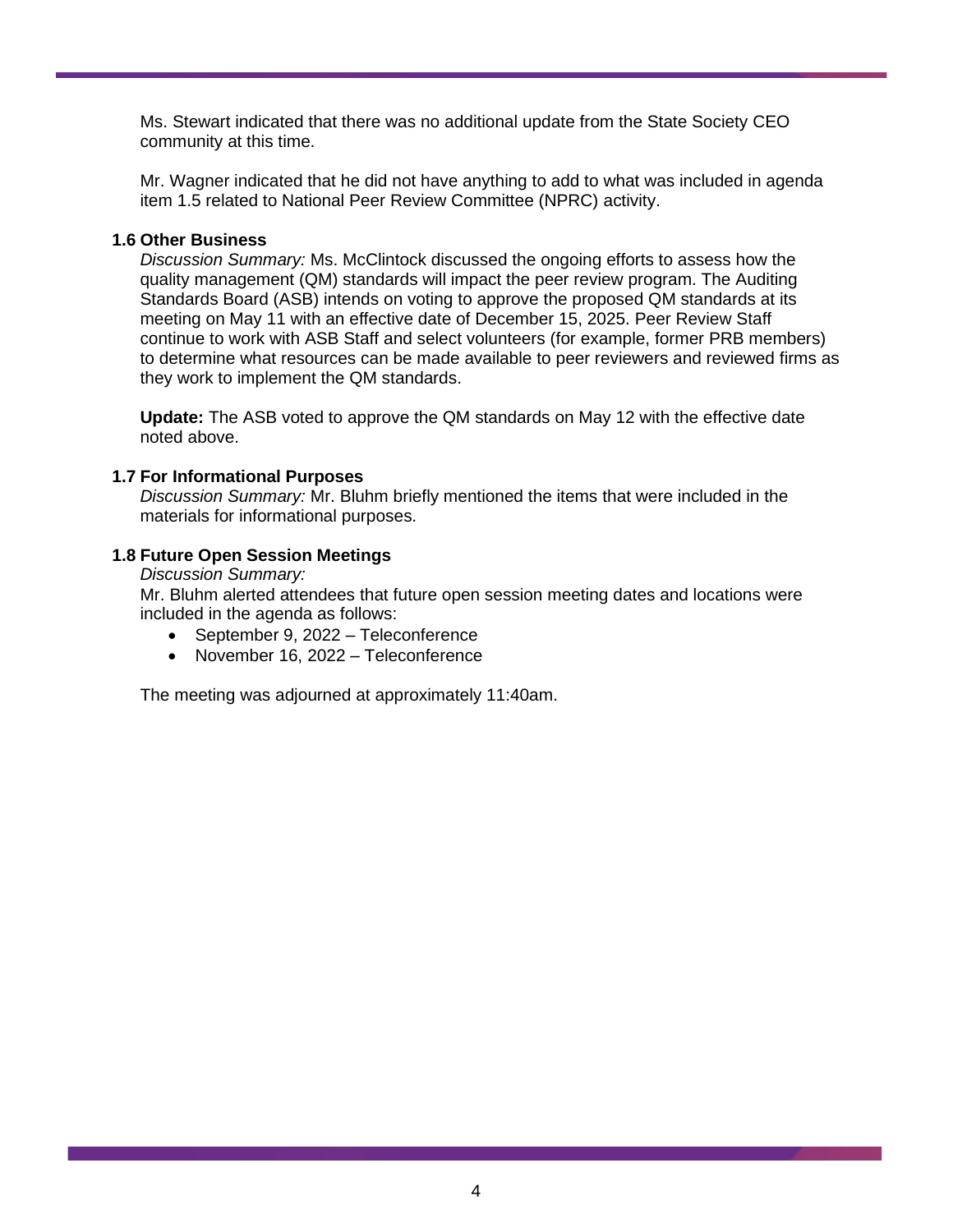Ms. Stewart indicated that there was no additional update from the State Society CEO community at this time.

Mr. Wagner indicated that he did not have anything to add to what was included in agenda item 1.5 related to National Peer Review Committee (NPRC) activity.

## **1.6 Other Business**

*Discussion Summary:* Ms. McClintock discussed the ongoing efforts to assess how the quality management (QM) standards will impact the peer review program. The Auditing Standards Board (ASB) intends on voting to approve the proposed QM standards at its meeting on May 11 with an effective date of December 15, 2025. Peer Review Staff continue to work with ASB Staff and select volunteers (for example, former PRB members) to determine what resources can be made available to peer reviewers and reviewed firms as they work to implement the QM standards.

**Update:** The ASB voted to approve the QM standards on May 12 with the effective date noted above.

## **1.7 For Informational Purposes**

*Discussion Summary:* Mr. Bluhm briefly mentioned the items that were included in the materials for informational purposes.

## **1.8 Future Open Session Meetings**

*Discussion Summary:*

Mr. Bluhm alerted attendees that future open session meeting dates and locations were included in the agenda as follows:

- September 9, 2022 Teleconference
- November 16, 2022 Teleconference

The meeting was adjourned at approximately 11:40am.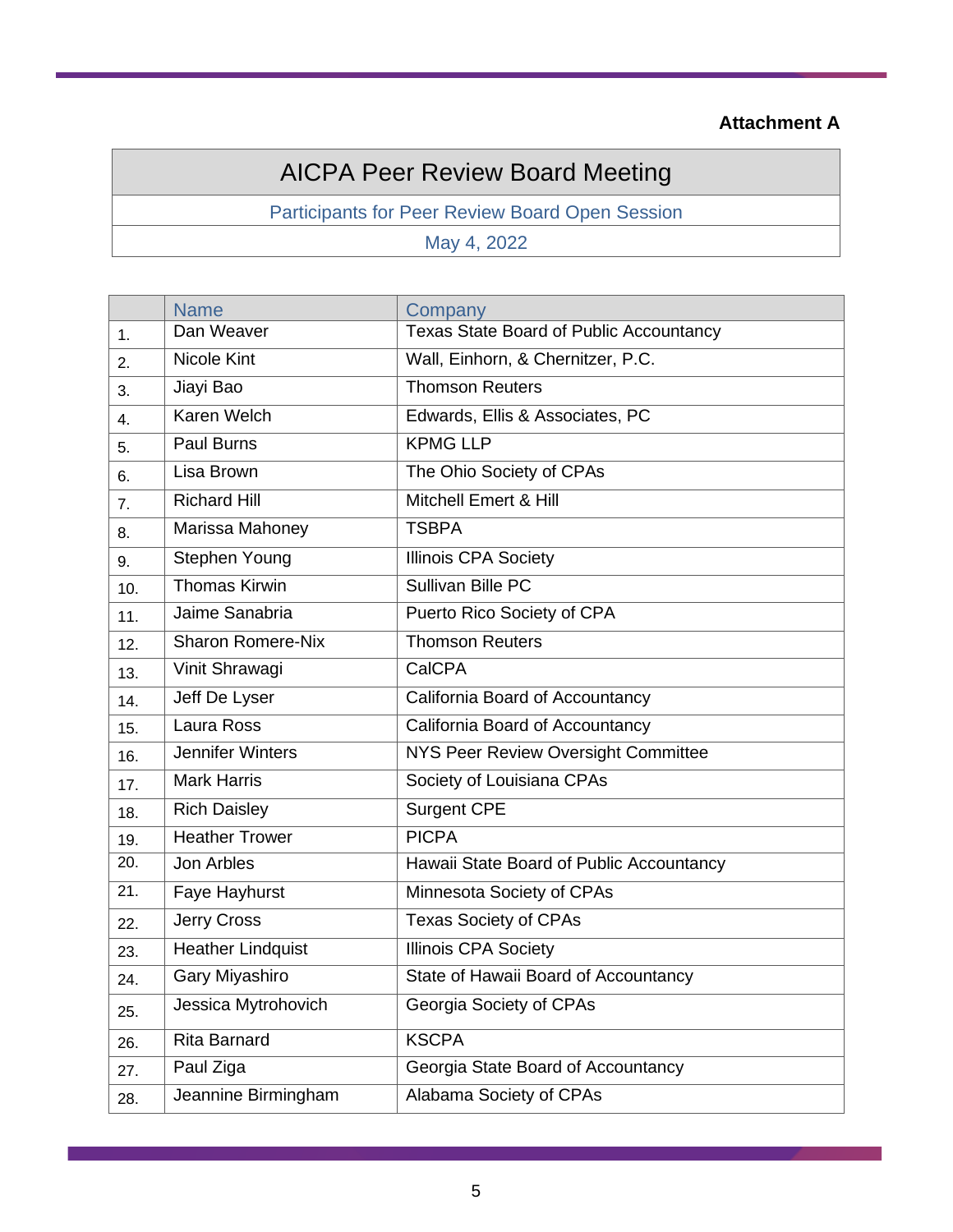## **Attachment A**

# AICPA Peer Review Board Meeting

Participants for Peer Review Board Open Session

May 4, 2022

|     | <b>Name</b>              | Company                                        |
|-----|--------------------------|------------------------------------------------|
| 1.  | Dan Weaver               | <b>Texas State Board of Public Accountancy</b> |
| 2.  | <b>Nicole Kint</b>       | Wall, Einhorn, & Chernitzer, P.C.              |
| 3.  | Jiayi Bao                | <b>Thomson Reuters</b>                         |
| 4.  | Karen Welch              | Edwards, Ellis & Associates, PC                |
| 5.  | <b>Paul Burns</b>        | <b>KPMG LLP</b>                                |
| 6.  | Lisa Brown               | The Ohio Society of CPAs                       |
| 7.  | <b>Richard Hill</b>      | Mitchell Emert & Hill                          |
| 8.  | Marissa Mahoney          | <b>TSBPA</b>                                   |
| 9.  | Stephen Young            | <b>Illinois CPA Society</b>                    |
| 10. | <b>Thomas Kirwin</b>     | Sullivan Bille PC                              |
| 11. | Jaime Sanabria           | Puerto Rico Society of CPA                     |
| 12. | <b>Sharon Romere-Nix</b> | <b>Thomson Reuters</b>                         |
| 13. | Vinit Shrawagi           | CalCPA                                         |
| 14. | Jeff De Lyser            | California Board of Accountancy                |
| 15. | Laura Ross               | California Board of Accountancy                |
| 16. | <b>Jennifer Winters</b>  | NYS Peer Review Oversight Committee            |
| 17. | <b>Mark Harris</b>       | Society of Louisiana CPAs                      |
| 18. | <b>Rich Daisley</b>      | <b>Surgent CPE</b>                             |
| 19. | <b>Heather Trower</b>    | <b>PICPA</b>                                   |
| 20. | Jon Arbles               | Hawaii State Board of Public Accountancy       |
| 21. | Faye Hayhurst            | Minnesota Society of CPAs                      |
| 22. | Jerry Cross              | <b>Texas Society of CPAs</b>                   |
| 23. | Heather Lindquist        | <b>Illinois CPA Society</b>                    |
| 24. | Gary Miyashiro           | State of Hawaii Board of Accountancy           |
| 25. | Jessica Mytrohovich      | Georgia Society of CPAs                        |
| 26. | Rita Barnard             | <b>KSCPA</b>                                   |
| 27. | Paul Ziga                | Georgia State Board of Accountancy             |
| 28. | Jeannine Birmingham      | Alabama Society of CPAs                        |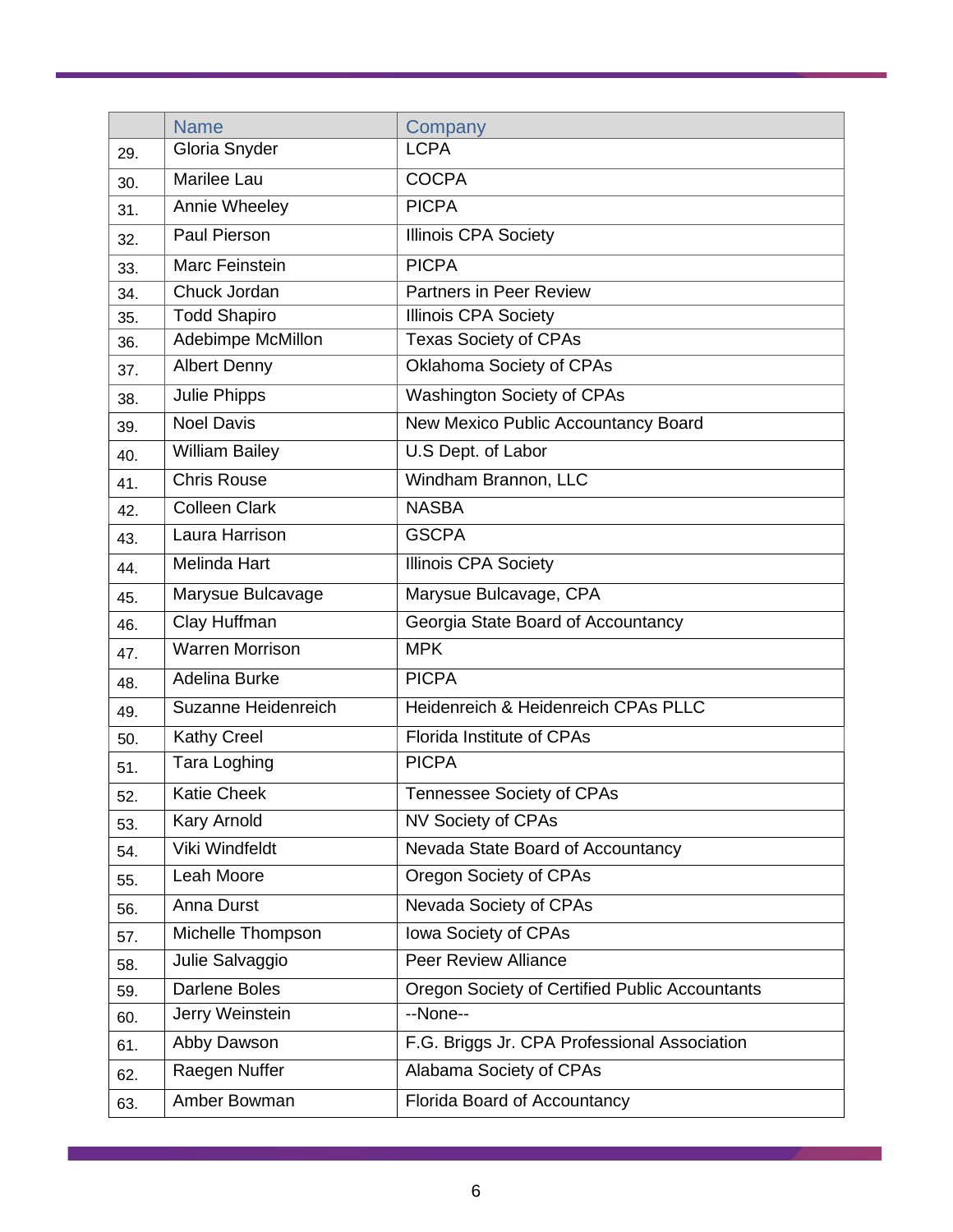|     | <b>Name</b>            | Company                                        |
|-----|------------------------|------------------------------------------------|
| 29. | Gloria Snyder          | <b>LCPA</b>                                    |
| 30. | Marilee Lau            | <b>COCPA</b>                                   |
| 31. | Annie Wheeley          | <b>PICPA</b>                                   |
| 32. | Paul Pierson           | <b>Illinois CPA Society</b>                    |
| 33. | Marc Feinstein         | <b>PICPA</b>                                   |
| 34. | Chuck Jordan           | <b>Partners in Peer Review</b>                 |
| 35. | <b>Todd Shapiro</b>    | <b>Illinois CPA Society</b>                    |
| 36. | Adebimpe McMillon      | <b>Texas Society of CPAs</b>                   |
| 37. | <b>Albert Denny</b>    | Oklahoma Society of CPAs                       |
| 38. | Julie Phipps           | Washington Society of CPAs                     |
| 39. | <b>Noel Davis</b>      | New Mexico Public Accountancy Board            |
| 40. | <b>William Bailey</b>  | U.S Dept. of Labor                             |
| 41. | <b>Chris Rouse</b>     | Windham Brannon, LLC                           |
| 42. | <b>Colleen Clark</b>   | <b>NASBA</b>                                   |
| 43. | Laura Harrison         | <b>GSCPA</b>                                   |
| 44. | <b>Melinda Hart</b>    | <b>Illinois CPA Society</b>                    |
| 45. | Marysue Bulcavage      | Marysue Bulcavage, CPA                         |
| 46. | Clay Huffman           | Georgia State Board of Accountancy             |
| 47. | <b>Warren Morrison</b> | <b>MPK</b>                                     |
| 48. | Adelina Burke          | <b>PICPA</b>                                   |
| 49. | Suzanne Heidenreich    | Heidenreich & Heidenreich CPAs PLLC            |
| 50. | <b>Kathy Creel</b>     | <b>Florida Institute of CPAs</b>               |
| 51. | Tara Loghing           | <b>PICPA</b>                                   |
| 52. | <b>Katie Cheek</b>     | <b>Tennessee Society of CPAs</b>               |
| 53. | Kary Arnold            | NV Society of CPAs                             |
| 54. | Viki Windfeldt         | Nevada State Board of Accountancy              |
| 55. | Leah Moore             | Oregon Society of CPAs                         |
| 56. | Anna Durst             | Nevada Society of CPAs                         |
| 57. | Michelle Thompson      | Iowa Society of CPAs                           |
| 58. | Julie Salvaggio        | <b>Peer Review Alliance</b>                    |
| 59. | <b>Darlene Boles</b>   | Oregon Society of Certified Public Accountants |
| 60. | Jerry Weinstein        | --None--                                       |
| 61. | Abby Dawson            | F.G. Briggs Jr. CPA Professional Association   |
| 62. | Raegen Nuffer          | Alabama Society of CPAs                        |
| 63. | Amber Bowman           | Florida Board of Accountancy                   |